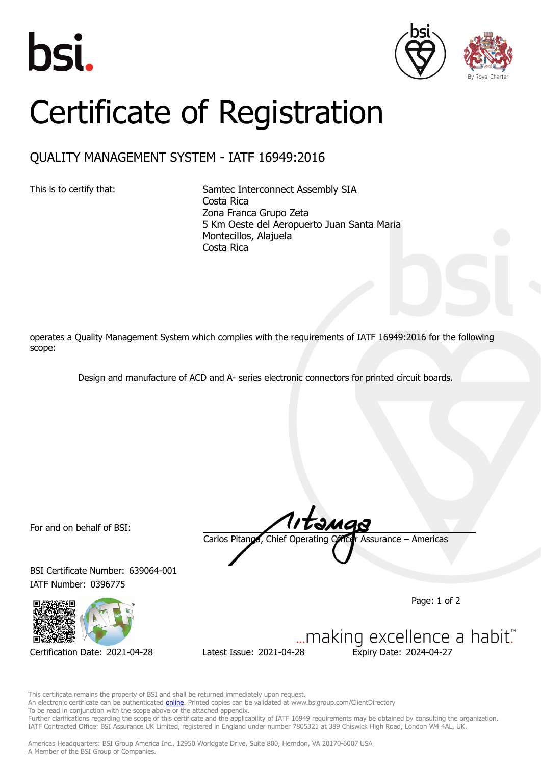





## Certificate of Registration

## QUALITY MANAGEMENT SYSTEM - IATF 16949:2016

This is to certify that: Samtec Interconnect Assembly SIA Costa Rica Zona Franca Grupo Zeta 5 Km Oeste del Aeropuerto Juan Santa Maria Montecillos, Alajuela Costa Rica

operates a Quality Management System which complies with the requirements of IATF 16949:2016 for the following scope:

Design and manufacture of ACD and A- series electronic connectors for printed circuit boards.

For and on behalf of BSI:

BSI Certificate Number: 639064-001 IATF Number: 0396775



Carlos Pitanga, Chief Operating Officer Assurance – Americas

Page: 1 of 2

... making excellence a habit." Certification Date: 2021-04-28 Latest Issue: 2021-04-28 Expiry Date: 2024-04-27

This certificate remains the property of BSI and shall be returned immediately upon request. An electronic certificate can be authenticated **[online](https://pgplus.bsigroup.com/CertificateValidation/CertificateValidator.aspx?CertificateNumber=TS+639064-001&ReIssueDate=28%2f04%2f2021&Template=inc)**. Printed copies can be validated at www.bsigroup.com/ClientDirectory To be read in conjunction with the scope above or the attached appendix. Further clarifications regarding the scope of this certificate and the applicability of IATF 16949 requirements may be obtained by consulting the organization. IATF Contracted Office: BSI Assurance UK Limited, registered in England under number 7805321 at 389 Chiswick High Road, London W4 4AL, UK.

Americas Headquarters: BSI Group America Inc., 12950 Worldgate Drive, Suite 800, Herndon, VA 20170-6007 USA A Member of the BSI Group of Companies.